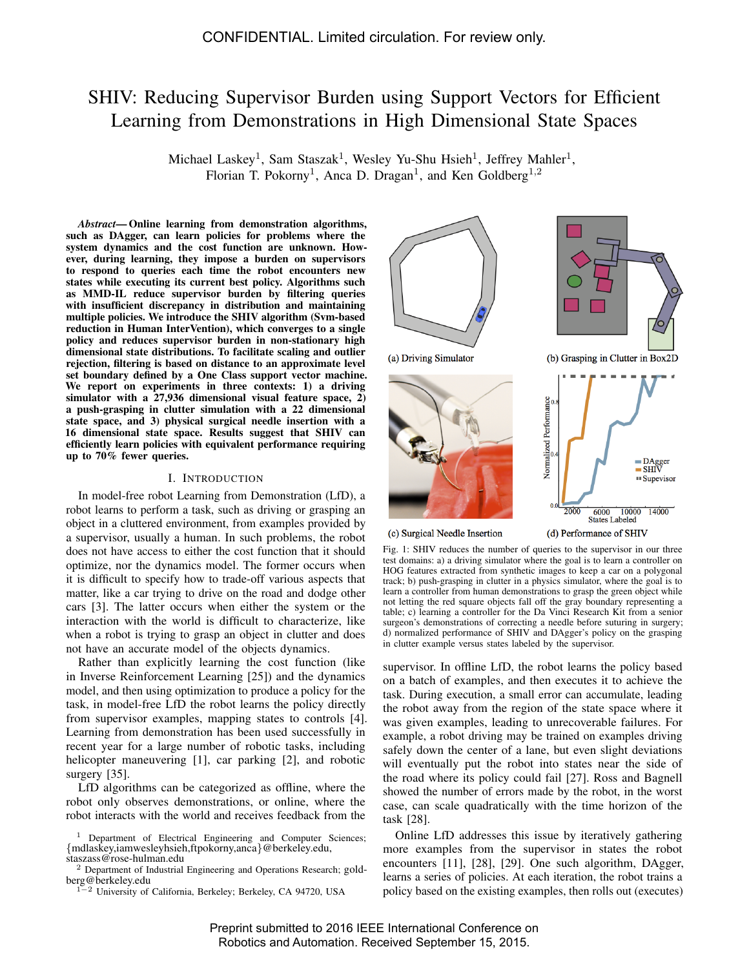# SHIV: Reducing Supervisor Burden using Support Vectors for Efficient Learning from Demonstrations in High Dimensional State Spaces

Michael Laskey<sup>1</sup>, Sam Staszak<sup>1</sup>, Wesley Yu-Shu Hsieh<sup>1</sup>, Jeffrey Mahler<sup>1</sup>, Florian T. Pokorny<sup>1</sup>, Anca D. Dragan<sup>1</sup>, and Ken Goldberg<sup>1,2</sup>

*Abstract*— Online learning from demonstration algorithms, such as DAgger, can learn policies for problems where the system dynamics and the cost function are unknown. However, during learning, they impose a burden on supervisors to respond to queries each time the robot encounters new states while executing its current best policy. Algorithms such as MMD-IL reduce supervisor burden by filtering queries with insufficient discrepancy in distribution and maintaining multiple policies. We introduce the SHIV algorithm (Svm-based reduction in Human InterVention), which converges to a single policy and reduces supervisor burden in non-stationary high dimensional state distributions. To facilitate scaling and outlier rejection, filtering is based on distance to an approximate level set boundary defined by a One Class support vector machine. We report on experiments in three contexts: 1) a driving simulator with a  $27,936$  dimensional visual feature space,  $2)$ a push-grasping in clutter simulation with a 22 dimensional state space, and 3) physical surgical needle insertion with a 16 dimensional state space. Results suggest that SHIV can efficiently learn policies with equivalent performance requiring up to 70% fewer queries.

# I. INTRODUCTION

In model-free robot Learning from Demonstration (LfD), a robot learns to perform a task, such as driving or grasping an object in a cluttered environment, from examples provided by a supervisor, usually a human. In such problems, the robot does not have access to either the cost function that it should optimize, nor the dynamics model. The former occurs when it is difficult to specify how to trade-off various aspects that matter, like a car trying to drive on the road and dodge other cars [3]. The latter occurs when either the system or the interaction with the world is difficult to characterize, like when a robot is trying to grasp an object in clutter and does not have an accurate model of the objects dynamics.

Rather than explicitly learning the cost function (like in Inverse Reinforcement Learning [25]) and the dynamics model, and then using optimization to produce a policy for the task, in model-free LfD the robot learns the policy directly from supervisor examples, mapping states to controls [4]. Learning from demonstration has been used successfully in recent year for a large number of robotic tasks, including helicopter maneuvering [1], car parking [2], and robotic surgery [35].

LfD algorithms can be categorized as offline, where the robot only observes demonstrations, or online, where the robot interacts with the world and receives feedback from the



Fig. 1: SHIV reduces the number of queries to the supervisor in our three test domains: a) a driving simulator where the goal is to learn a controller on HOG features extracted from synthetic images to keep a car on a polygonal track; b) push-grasping in clutter in a physics simulator, where the goal is to learn a controller from human demonstrations to grasp the green object while not letting the red square objects fall off the gray boundary representing a table; c) learning a controller for the Da Vinci Research Kit from a senior surgeon's demonstrations of correcting a needle before suturing in surgery; d) normalized performance of SHIV and DAgger's policy on the grasping in clutter example versus states labeled by the supervisor.

supervisor. In offline LfD, the robot learns the policy based on a batch of examples, and then executes it to achieve the task. During execution, a small error can accumulate, leading the robot away from the region of the state space where it was given examples, leading to unrecoverable failures. For example, a robot driving may be trained on examples driving safely down the center of a lane, but even slight deviations will eventually put the robot into states near the side of the road where its policy could fail [27]. Ross and Bagnell showed the number of errors made by the robot, in the worst case, can scale quadratically with the time horizon of the task [28].

Online LfD addresses this issue by iteratively gathering more examples from the supervisor in states the robot encounters [11], [28], [29]. One such algorithm, DAgger, learns a series of policies. At each iteration, the robot trains a policy based on the existing examples, then rolls out (executes)

<sup>&</sup>lt;sup>1</sup> Department of Electrical Engineering and Computer Sciences; {mdlaskey,iamwesleyhsieh,ftpokorny,anca}@berkeley.edu, staszass@rose-hulman.edu

<sup>2</sup> Department of Industrial Engineering and Operations Research; goldberg@berkeley.edu

<sup>1</sup>−<sup>2</sup> University of California, Berkeley; Berkeley, CA 94720, USA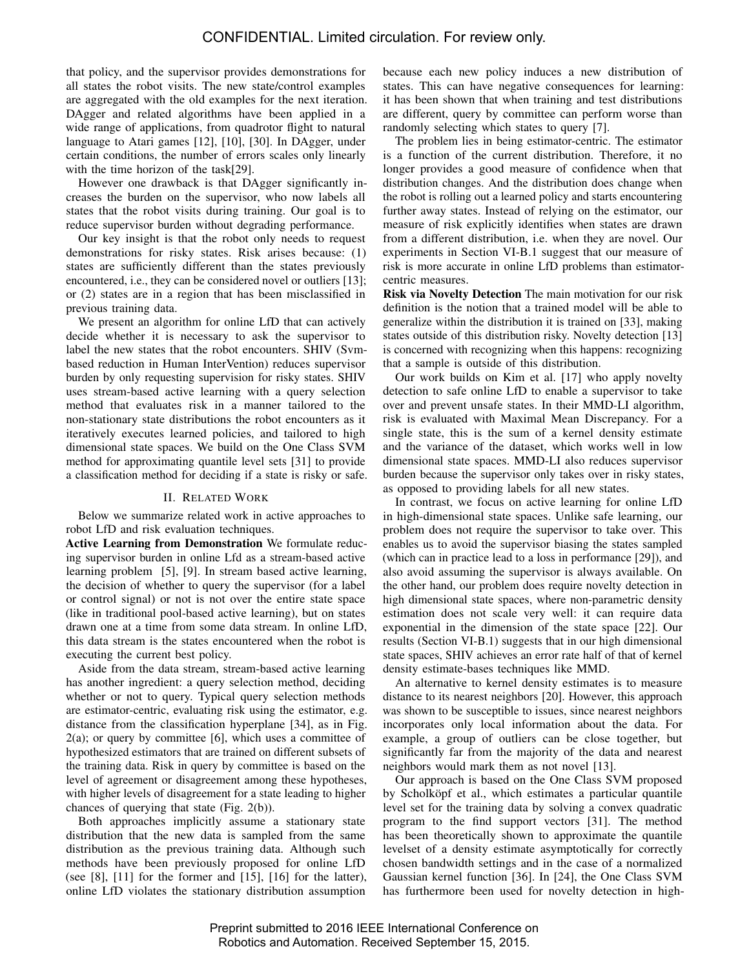that policy, and the supervisor provides demonstrations for all states the robot visits. The new state/control examples are aggregated with the old examples for the next iteration. DAgger and related algorithms have been applied in a wide range of applications, from quadrotor flight to natural language to Atari games [12], [10], [30]. In DAgger, under certain conditions, the number of errors scales only linearly with the time horizon of the task[29].

However one drawback is that DAgger significantly increases the burden on the supervisor, who now labels all states that the robot visits during training. Our goal is to reduce supervisor burden without degrading performance.

Our key insight is that the robot only needs to request demonstrations for risky states. Risk arises because: (1) states are sufficiently different than the states previously encountered, i.e., they can be considered novel or outliers [13]; or (2) states are in a region that has been misclassified in previous training data.

We present an algorithm for online LfD that can actively decide whether it is necessary to ask the supervisor to label the new states that the robot encounters. SHIV (Svmbased reduction in Human InterVention) reduces supervisor burden by only requesting supervision for risky states. SHIV uses stream-based active learning with a query selection method that evaluates risk in a manner tailored to the non-stationary state distributions the robot encounters as it iteratively executes learned policies, and tailored to high dimensional state spaces. We build on the One Class SVM method for approximating quantile level sets [31] to provide a classification method for deciding if a state is risky or safe.

# II. RELATED WORK

Below we summarize related work in active approaches to robot LfD and risk evaluation techniques.

Active Learning from Demonstration We formulate reducing supervisor burden in online Lfd as a stream-based active learning problem [5], [9]. In stream based active learning, the decision of whether to query the supervisor (for a label or control signal) or not is not over the entire state space (like in traditional pool-based active learning), but on states drawn one at a time from some data stream. In online LfD, this data stream is the states encountered when the robot is executing the current best policy.

Aside from the data stream, stream-based active learning has another ingredient: a query selection method, deciding whether or not to query. Typical query selection methods are estimator-centric, evaluating risk using the estimator, e.g. distance from the classification hyperplane [34], as in Fig.  $2(a)$ ; or query by committee [6], which uses a committee of hypothesized estimators that are trained on different subsets of the training data. Risk in query by committee is based on the level of agreement or disagreement among these hypotheses, with higher levels of disagreement for a state leading to higher chances of querying that state (Fig. 2(b)).

Both approaches implicitly assume a stationary state distribution that the new data is sampled from the same distribution as the previous training data. Although such methods have been previously proposed for online LfD (see  $[8]$ ,  $[11]$  for the former and  $[15]$ ,  $[16]$  for the latter), online LfD violates the stationary distribution assumption

because each new policy induces a new distribution of states. This can have negative consequences for learning: it has been shown that when training and test distributions are different, query by committee can perform worse than randomly selecting which states to query [7].

The problem lies in being estimator-centric. The estimator is a function of the current distribution. Therefore, it no longer provides a good measure of confidence when that distribution changes. And the distribution does change when the robot is rolling out a learned policy and starts encountering further away states. Instead of relying on the estimator, our measure of risk explicitly identifies when states are drawn from a different distribution, i.e. when they are novel. Our experiments in Section VI-B.1 suggest that our measure of risk is more accurate in online LfD problems than estimatorcentric measures.

Risk via Novelty Detection The main motivation for our risk definition is the notion that a trained model will be able to generalize within the distribution it is trained on [33], making states outside of this distribution risky. Novelty detection [13] is concerned with recognizing when this happens: recognizing that a sample is outside of this distribution.

Our work builds on Kim et al. [17] who apply novelty detection to safe online LfD to enable a supervisor to take over and prevent unsafe states. In their MMD-LI algorithm, risk is evaluated with Maximal Mean Discrepancy. For a single state, this is the sum of a kernel density estimate and the variance of the dataset, which works well in low dimensional state spaces. MMD-LI also reduces supervisor burden because the supervisor only takes over in risky states, as opposed to providing labels for all new states.

In contrast, we focus on active learning for online LfD in high-dimensional state spaces. Unlike safe learning, our problem does not require the supervisor to take over. This enables us to avoid the supervisor biasing the states sampled (which can in practice lead to a loss in performance [29]), and also avoid assuming the supervisor is always available. On the other hand, our problem does require novelty detection in high dimensional state spaces, where non-parametric density estimation does not scale very well: it can require data exponential in the dimension of the state space [22]. Our results (Section VI-B.1) suggests that in our high dimensional state spaces, SHIV achieves an error rate half of that of kernel density estimate-bases techniques like MMD.

An alternative to kernel density estimates is to measure distance to its nearest neighbors [20]. However, this approach was shown to be susceptible to issues, since nearest neighbors incorporates only local information about the data. For example, a group of outliers can be close together, but significantly far from the majority of the data and nearest neighbors would mark them as not novel [13].

Our approach is based on the One Class SVM proposed by Scholköpf et al., which estimates a particular quantile level set for the training data by solving a convex quadratic program to the find support vectors [31]. The method has been theoretically shown to approximate the quantile levelset of a density estimate asymptotically for correctly chosen bandwidth settings and in the case of a normalized Gaussian kernel function [36]. In [24], the One Class SVM has furthermore been used for novelty detection in high-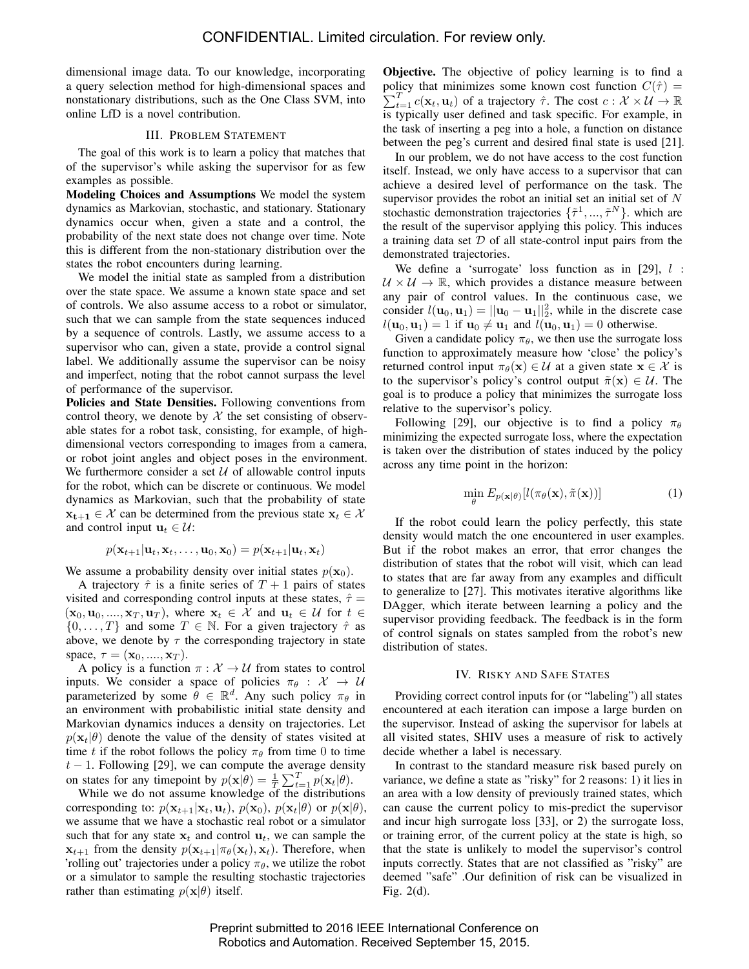dimensional image data. To our knowledge, incorporating a query selection method for high-dimensional spaces and nonstationary distributions, such as the One Class SVM, into online LfD is a novel contribution.

# III. PROBLEM STATEMENT

The goal of this work is to learn a policy that matches that of the supervisor's while asking the supervisor for as few examples as possible.

Modeling Choices and Assumptions We model the system dynamics as Markovian, stochastic, and stationary. Stationary dynamics occur when, given a state and a control, the probability of the next state does not change over time. Note this is different from the non-stationary distribution over the states the robot encounters during learning.

We model the initial state as sampled from a distribution over the state space. We assume a known state space and set of controls. We also assume access to a robot or simulator, such that we can sample from the state sequences induced by a sequence of controls. Lastly, we assume access to a supervisor who can, given a state, provide a control signal label. We additionally assume the supervisor can be noisy and imperfect, noting that the robot cannot surpass the level of performance of the supervisor.

Policies and State Densities. Following conventions from control theory, we denote by  $X$  the set consisting of observable states for a robot task, consisting, for example, of highdimensional vectors corresponding to images from a camera, or robot joint angles and object poses in the environment. We furthermore consider a set  $U$  of allowable control inputs for the robot, which can be discrete or continuous. We model dynamics as Markovian, such that the probability of state  $x_{t+1} \in \mathcal{X}$  can be determined from the previous state  $x_t \in \mathcal{X}$ and control input  $\mathbf{u}_t \in \mathcal{U}$ :

$$
p(\mathbf{x}_{t+1}|\mathbf{u}_t, \mathbf{x}_t, \dots, \mathbf{u}_0, \mathbf{x}_0) = p(\mathbf{x}_{t+1}|\mathbf{u}_t, \mathbf{x}_t)
$$

We assume a probability density over initial states  $p(\mathbf{x}_0)$ .

A trajectory  $\hat{\tau}$  is a finite series of  $T + 1$  pairs of states visited and corresponding control inputs at these states,  $\hat{\tau} =$  $(\mathbf{x}_0, \mathbf{u}_0, ..., \mathbf{x}_T, \mathbf{u}_T)$ , where  $\mathbf{x}_t \in \mathcal{X}$  and  $\mathbf{u}_t \in \mathcal{U}$  for  $t \in$  $\{0, \ldots, T\}$  and some  $T \in \mathbb{N}$ . For a given trajectory  $\hat{\tau}$  as above, we denote by  $\tau$  the corresponding trajectory in state space,  $\tau = (\mathbf{x}_0, \dots, \mathbf{x}_T)$ .

A policy is a function  $\pi : \mathcal{X} \to \mathcal{U}$  from states to control inputs. We consider a space of policies  $\pi_{\theta} : \mathcal{X} \to \mathcal{U}$ parameterized by some  $\hat{\theta} \in \mathbb{R}^d$ . Any such policy  $\pi_{\theta}$  in an environment with probabilistic initial state density and Markovian dynamics induces a density on trajectories. Let  $p(\mathbf{x}_t|\theta)$  denote the value of the density of states visited at time t if the robot follows the policy  $\pi_{\theta}$  from time 0 to time  $t - 1$ . Following [29], we can compute the average density on states for any timepoint by  $p(\mathbf{x}|\theta) = \frac{1}{T} \sum_{t=1}^{T} p(\mathbf{x}_t|\theta)$ .

While we do not assume knowledge of the distributions corresponding to:  $p(\mathbf{x}_{t+1}|\mathbf{x}_t, \mathbf{u}_t)$ ,  $p(\mathbf{x}_0)$ ,  $p(\mathbf{x}_t|\theta)$  or  $p(\mathbf{x}|\theta)$ , we assume that we have a stochastic real robot or a simulator such that for any state  $x_t$  and control  $u_t$ , we can sample the  $\mathbf{x}_{t+1}$  from the density  $p(\mathbf{x}_{t+1}|\pi_{\theta}(\mathbf{x}_t), \mathbf{x}_t)$ . Therefore, when 'rolling out' trajectories under a policy  $\pi_{\theta}$ , we utilize the robot or a simulator to sample the resulting stochastic trajectories rather than estimating  $p(\mathbf{x}|\theta)$  itself.

Objective. The objective of policy learning is to find a policy that minimizes some known cost function  $C(\hat{\tau}) =$  $\sum_{t=1}^{T} c(\mathbf{x}_t, \mathbf{u}_t)$  of a trajectory  $\hat{\tau}$ . The cost  $c : \mathcal{X} \times \mathcal{U} \to \mathbb{R}$ is typically user defined and task specific. For example, in the task of inserting a peg into a hole, a function on distance between the peg's current and desired final state is used [21].

In our problem, we do not have access to the cost function itself. Instead, we only have access to a supervisor that can achieve a desired level of performance on the task. The supervisor provides the robot an initial set an initial set of N stochastic demonstration trajectories  $\{\tilde{\tau}^1, ..., \tilde{\tau}^N\}$ . which are the result of the supervisor applying this policy. This induces a training data set  $D$  of all state-control input pairs from the demonstrated trajectories.

We define a 'surrogate' loss function as in [29],  $l$  :  $U \times U \rightarrow \mathbb{R}$ , which provides a distance measure between any pair of control values. In the continuous case, we consider  $l(\mathbf{u}_0, \mathbf{u}_1) = ||\mathbf{u}_0 - \mathbf{u}_1||_2^2$ , while in the discrete case  $l(\mathbf{u}_0, \mathbf{u}_1) = 1$  if  $\mathbf{u}_0 \neq \mathbf{u}_1$  and  $l(\mathbf{u}_0, \mathbf{u}_1) = 0$  otherwise.

Given a candidate policy  $\pi_{\theta}$ , we then use the surrogate loss function to approximately measure how 'close' the policy's returned control input  $\pi_{\theta}(\mathbf{x}) \in \mathcal{U}$  at a given state  $\mathbf{x} \in \mathcal{X}$  is to the supervisor's policy's control output  $\tilde{\pi}(\mathbf{x}) \in \mathcal{U}$ . The goal is to produce a policy that minimizes the surrogate loss relative to the supervisor's policy.

Following [29], our objective is to find a policy  $\pi_{\theta}$ minimizing the expected surrogate loss, where the expectation is taken over the distribution of states induced by the policy across any time point in the horizon:

$$
\min_{\theta} E_{p(\mathbf{x}|\theta)}[l(\pi_{\theta}(\mathbf{x}), \tilde{\pi}(\mathbf{x}))]
$$
\n(1)

If the robot could learn the policy perfectly, this state density would match the one encountered in user examples. But if the robot makes an error, that error changes the distribution of states that the robot will visit, which can lead to states that are far away from any examples and difficult to generalize to [27]. This motivates iterative algorithms like DAgger, which iterate between learning a policy and the supervisor providing feedback. The feedback is in the form of control signals on states sampled from the robot's new distribution of states.

#### IV. RISKY AND SAFE STATES

Providing correct control inputs for (or "labeling") all states encountered at each iteration can impose a large burden on the supervisor. Instead of asking the supervisor for labels at all visited states, SHIV uses a measure of risk to actively decide whether a label is necessary.

In contrast to the standard measure risk based purely on variance, we define a state as "risky" for 2 reasons: 1) it lies in an area with a low density of previously trained states, which can cause the current policy to mis-predict the supervisor and incur high surrogate loss [33], or 2) the surrogate loss, or training error, of the current policy at the state is high, so that the state is unlikely to model the supervisor's control inputs correctly. States that are not classified as "risky" are deemed "safe" .Our definition of risk can be visualized in Fig. 2(d).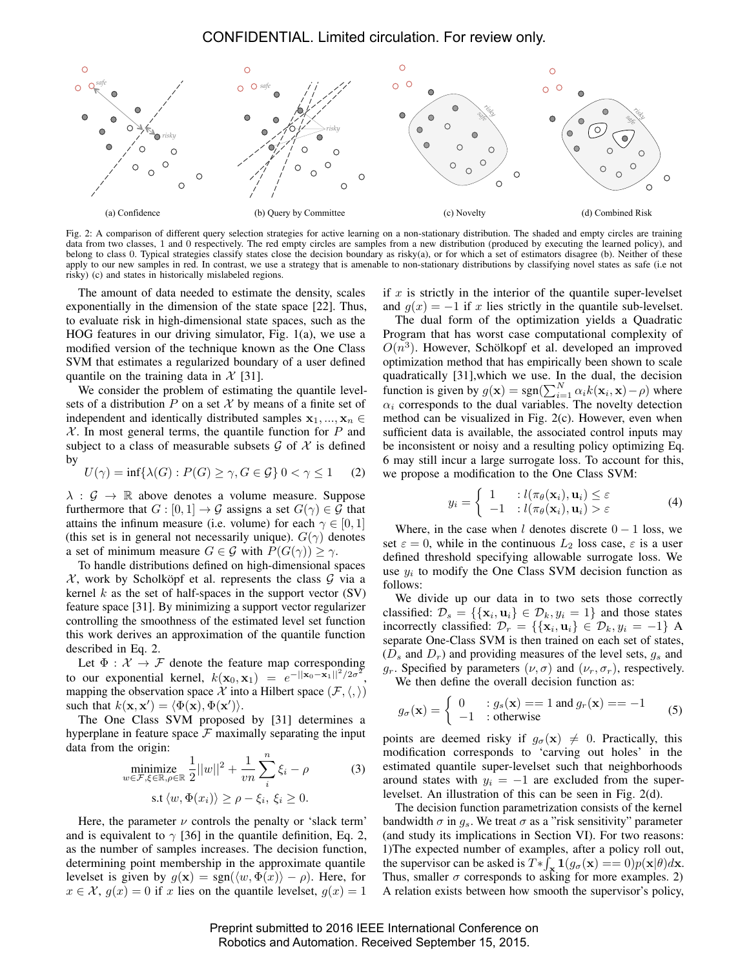

Fig. 2: A comparison of different query selection strategies for active learning on a non-stationary distribution. The shaded and empty circles are training data from two classes, 1 and 0 respectively. The red empty circles are samples from a new distribution (produced by executing the learned policy), and belong to class 0. Typical strategies classify states close the decision boundary as risky(a), or for which a set of estimators disagree (b). Neither of these apply to our new samples in red. In contrast, we use a strategy that is amenable to non-stationary distributions by classifying novel states as safe (i.e not risky) (c) and states in historically mislabeled regions.

The amount of data needed to estimate the density, scales exponentially in the dimension of the state space [22]. Thus, to evaluate risk in high-dimensional state spaces, such as the HOG features in our driving simulator, Fig. 1(a), we use a modified version of the technique known as the One Class SVM that estimates a regularized boundary of a user defined quantile on the training data in  $\mathcal{X}$  [31].

We consider the problem of estimating the quantile levelsets of a distribution  $P$  on a set  $\mathcal X$  by means of a finite set of independent and identically distributed samples  $x_1, ..., x_n$  $X$ . In most general terms, the quantile function for P and subject to a class of measurable subsets  $\mathcal G$  of  $\mathcal X$  is defined by

$$
U(\gamma) = \inf \{ \lambda(G) : P(G) \ge \gamma, G \in \mathcal{G} \} 0 < \gamma \le 1 \tag{2}
$$

 $\lambda : \mathcal{G} \to \mathbb{R}$  above denotes a volume measure. Suppose furthermore that  $G : [0, 1] \to \mathcal{G}$  assigns a set  $G(\gamma) \in \mathcal{G}$  that attains the infinum measure (i.e. volume) for each  $\gamma \in [0, 1]$ (this set is in general not necessarily unique).  $G(\gamma)$  denotes a set of minimum measure  $G \in \mathcal{G}$  with  $P(G(\gamma)) \geq \gamma$ .

To handle distributions defined on high-dimensional spaces  $X$ , work by Scholköpf et al. represents the class  $G$  via a kernel k as the set of half-spaces in the support vector  $(SV)$ feature space [31]. By minimizing a support vector regularizer controlling the smoothness of the estimated level set function this work derives an approximation of the quantile function described in Eq. 2.

Let  $\Phi : \mathcal{X} \to \mathcal{F}$  denote the feature map corresponding to our exponential kernel,  $k(\mathbf{x}_0, \mathbf{x}_1) = e^{-\|\mathbf{x}_0 - \mathbf{x}_1\|^2/2\sigma^2}$ , mapping the observation space X into a Hilbert space  $(\mathcal{F}, \langle, \rangle)$ such that  $k(\mathbf{x}, \mathbf{x}') = \langle \Phi(\mathbf{x}), \Phi(\mathbf{x}') \rangle$ .

The One Class SVM proposed by [31] determines a hyperplane in feature space  $F$  maximally separating the input data from the origin:

$$
\begin{aligned}\n&\text{minimize}_{w \in \mathcal{F}, \xi \in \mathbb{R}, \rho \in \mathbb{R}} \frac{1}{2} ||w||^2 + \frac{1}{vn} \sum_{i}^{n} \xi_i - \rho \quad (3) \\
&\text{s.t } \langle w, \Phi(x_i) \rangle \ge \rho - \xi_i, \ \xi_i \ge 0.\n\end{aligned}
$$

Here, the parameter  $\nu$  controls the penalty or 'slack term' and is equivalent to  $\gamma$  [36] in the quantile definition, Eq. 2, as the number of samples increases. The decision function, determining point membership in the approximate quantile levelset is given by  $g(x) = sgn(\langle w, \Phi(x) \rangle - \rho)$ . Here, for  $x \in \mathcal{X}$ ,  $g(x) = 0$  if x lies on the quantile levelset,  $g(x) = 1$ 

if  $x$  is strictly in the interior of the quantile super-level set and  $q(x) = -1$  if x lies strictly in the quantile sub-levelset.

The dual form of the optimization yields a Quadratic Program that has worst case computational complexity of  $O(n^3)$ . However, Schölkopf et al. developed an improved optimization method that has empirically been shown to scale quadratically [31],which we use. In the dual, the decision function is given by  $g(\mathbf{x}) = \text{sgn}(\sum_{i=1}^{N} \alpha_i k(\mathbf{x}_i, \mathbf{x}) - \rho)$  where  $\alpha_i$  corresponds to the dual variables. The novelty detection method can be visualized in Fig. 2(c). However, even when sufficient data is available, the associated control inputs may be inconsistent or noisy and a resulting policy optimizing Eq. 6 may still incur a large surrogate loss. To account for this, we propose a modification to the One Class SVM:

$$
y_i = \begin{cases} 1 & : l(\pi_\theta(\mathbf{x}_i), \mathbf{u}_i) \le \varepsilon \\ -1 & : l(\pi_\theta(\mathbf{x}_i), \mathbf{u}_i) > \varepsilon \end{cases}
$$
(4)

Where, in the case when l denotes discrete  $0 - 1$  loss, we set  $\varepsilon = 0$ , while in the continuous  $L_2$  loss case,  $\varepsilon$  is a user defined threshold specifying allowable surrogate loss. We use  $y_i$  to modify the One Class SVM decision function as follows:

We divide up our data in to two sets those correctly classified:  $\mathcal{D}_s = \{ \{ \mathbf{x}_i, \mathbf{u}_i \} \in \mathcal{D}_k, y_i = 1 \}$  and those states incorrectly classified:  $\mathcal{D}_r = \{\{\mathbf{x}_i, \mathbf{u}_i\} \in \mathcal{D}_k, y_i = -1\}$  A separate One-Class SVM is then trained on each set of states,  $(D_s$  and  $D_r$ ) and providing measures of the level sets,  $q_s$  and  $g_r$ . Specified by parameters  $(\nu, \sigma)$  and  $(\nu_r, \sigma_r)$ , respectively. We then define the overall decision function as:

$$
g_{\sigma}(\mathbf{x}) = \begin{cases} 0 & \text{: } g_s(\mathbf{x}) == 1 \text{ and } g_r(\mathbf{x}) == -1 \\ -1 & \text{: otherwise} \end{cases}
$$
(5)

points are deemed risky if  $g_{\sigma}(\mathbf{x}) \neq 0$ . Practically, this modification corresponds to 'carving out holes' in the estimated quantile super-levelset such that neighborhoods around states with  $y_i = -1$  are excluded from the superlevelset. An illustration of this can be seen in Fig. 2(d).

The decision function parametrization consists of the kernel bandwidth  $\sigma$  in  $g_s$ . We treat  $\sigma$  as a "risk sensitivity" parameter (and study its implications in Section VI). For two reasons: 1)The expected number of examples, after a policy roll out, the supervisor can be asked is  $T * \int_{\mathbf{x}} \mathbf{1}(g_{\sigma}(\mathbf{x})) = 0)p(\mathbf{x}|\theta) d\mathbf{x}$ . Thus, smaller  $\sigma$  corresponds to asking for more examples. 2) A relation exists between how smooth the supervisor's policy,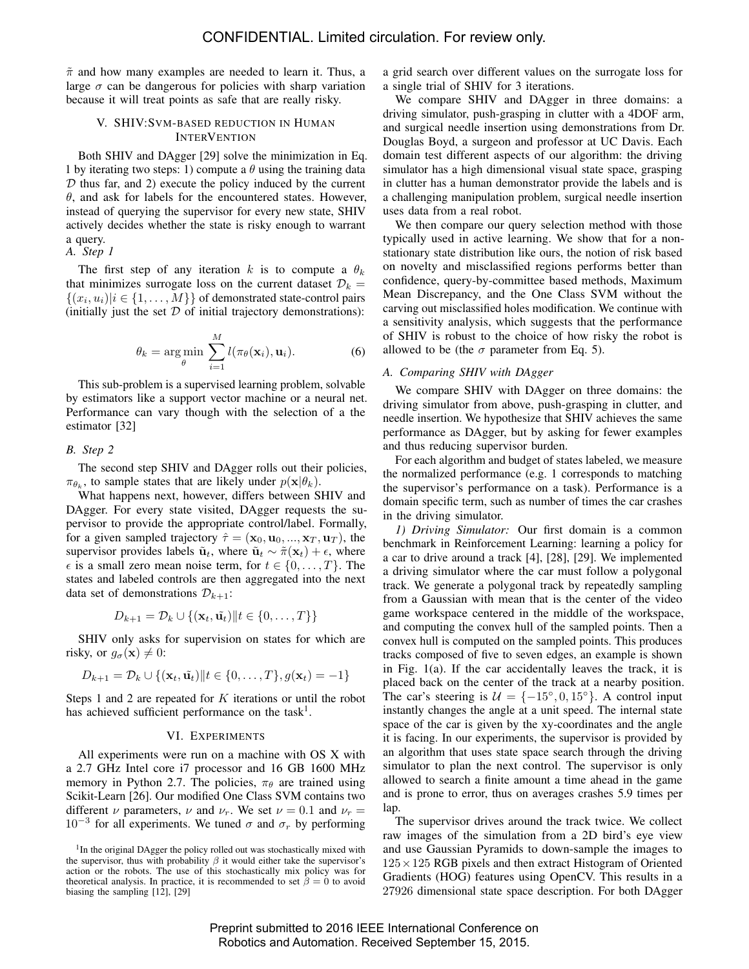$\tilde{\pi}$  and how many examples are needed to learn it. Thus, a large  $\sigma$  can be dangerous for policies with sharp variation because it will treat points as safe that are really risky.

#### V. SHIV:SVM-BASED REDUCTION IN HUMAN **INTERVENTION**

Both SHIV and DAgger [29] solve the minimization in Eq. 1 by iterating two steps: 1) compute a  $\theta$  using the training data  $D$  thus far, and 2) execute the policy induced by the current  $\theta$ , and ask for labels for the encountered states. However, instead of querying the supervisor for every new state, SHIV actively decides whether the state is risky enough to warrant a query.

*A. Step 1*

The first step of any iteration k is to compute a  $\theta_k$ that minimizes surrogate loss on the current dataset  $\mathcal{D}_k =$  $\{(x_i, u_i)|i \in \{1, \ldots, M\}\}\$  of demonstrated state-control pairs (initially just the set  $D$  of initial trajectory demonstrations):

$$
\theta_k = \underset{\theta}{\arg\min} \sum_{i=1}^{M} l(\pi_{\theta}(\mathbf{x}_i), \mathbf{u}_i).
$$
 (6)

This sub-problem is a supervised learning problem, solvable by estimators like a support vector machine or a neural net. Performance can vary though with the selection of a the estimator [32]

*B. Step 2*

The second step SHIV and DAgger rolls out their policies,  $\pi_{\theta_k}$ , to sample states that are likely under  $p(\mathbf{x}|\theta_k)$ .

What happens next, however, differs between SHIV and DAgger. For every state visited, DAgger requests the supervisor to provide the appropriate control/label. Formally, for a given sampled trajectory  $\hat{\tau} = (\mathbf{x}_0, \mathbf{u}_0, ..., \mathbf{x}_T, \mathbf{u}_T)$ , the supervisor provides labels  $\tilde{u}_t$ , where  $\tilde{u}_t \sim \tilde{\pi}(\mathbf{x}_t) + \epsilon$ , where  $\epsilon$  is a small zero mean noise term, for  $t \in \{0, \ldots, T\}$ . The states and labeled controls are then aggregated into the next data set of demonstrations  $\mathcal{D}_{k+1}$ :

$$
D_{k+1} = \mathcal{D}_k \cup \{(\mathbf{x}_t, \tilde{\mathbf{u}_t}) \mid t \in \{0, \dots, T\}\}
$$

SHIV only asks for supervision on states for which are risky, or  $g_{\sigma}(\mathbf{x}) \neq 0$ :

$$
D_{k+1} = \mathcal{D}_k \cup \{(\mathbf{x}_t, \tilde{\mathbf{u}_t}) \mid t \in \{0, \ldots, T\}, g(\mathbf{x}_t) = -1\}
$$

Steps 1 and 2 are repeated for  $K$  iterations or until the robot has achieved sufficient performance on the task<sup>1</sup>.

#### VI. EXPERIMENTS

All experiments were run on a machine with OS X with a 2.7 GHz Intel core i7 processor and 16 GB 1600 MHz memory in Python 2.7. The policies,  $\pi_{\theta}$  are trained using Scikit-Learn [26]. Our modified One Class SVM contains two different  $\nu$  parameters,  $\nu$  and  $\nu_r$ . We set  $\nu = 0.1$  and  $\nu_r =$ 10<sup>-3</sup> for all experiments. We tuned  $σ$  and  $σ<sub>r</sub>$  by performing

a grid search over different values on the surrogate loss for a single trial of SHIV for 3 iterations.

We compare SHIV and DAgger in three domains: a driving simulator, push-grasping in clutter with a 4DOF arm, and surgical needle insertion using demonstrations from Dr. Douglas Boyd, a surgeon and professor at UC Davis. Each domain test different aspects of our algorithm: the driving simulator has a high dimensional visual state space, grasping in clutter has a human demonstrator provide the labels and is a challenging manipulation problem, surgical needle insertion uses data from a real robot.

We then compare our query selection method with those typically used in active learning. We show that for a nonstationary state distribution like ours, the notion of risk based on novelty and misclassified regions performs better than confidence, query-by-committee based methods, Maximum Mean Discrepancy, and the One Class SVM without the carving out misclassified holes modification. We continue with a sensitivity analysis, which suggests that the performance of SHIV is robust to the choice of how risky the robot is allowed to be (the  $\sigma$  parameter from Eq. 5).

# *A. Comparing SHIV with DAgger*

We compare SHIV with DAgger on three domains: the driving simulator from above, push-grasping in clutter, and needle insertion. We hypothesize that SHIV achieves the same performance as DAgger, but by asking for fewer examples and thus reducing supervisor burden.

For each algorithm and budget of states labeled, we measure the normalized performance (e.g. 1 corresponds to matching the supervisor's performance on a task). Performance is a domain specific term, such as number of times the car crashes in the driving simulator.

*1) Driving Simulator:* Our first domain is a common benchmark in Reinforcement Learning: learning a policy for a car to drive around a track [4], [28], [29]. We implemented a driving simulator where the car must follow a polygonal track. We generate a polygonal track by repeatedly sampling from a Gaussian with mean that is the center of the video game workspace centered in the middle of the workspace, and computing the convex hull of the sampled points. Then a convex hull is computed on the sampled points. This produces tracks composed of five to seven edges, an example is shown in Fig. 1(a). If the car accidentally leaves the track, it is placed back on the center of the track at a nearby position. The car's steering is  $U = \{-15^\circ, 0, 15^\circ\}$ . A control input instantly changes the angle at a unit speed. The internal state space of the car is given by the xy-coordinates and the angle it is facing. In our experiments, the supervisor is provided by an algorithm that uses state space search through the driving simulator to plan the next control. The supervisor is only allowed to search a finite amount a time ahead in the game and is prone to error, thus on averages crashes 5.9 times per lap.

The supervisor drives around the track twice. We collect raw images of the simulation from a 2D bird's eye view and use Gaussian Pyramids to down-sample the images to  $125 \times 125$  RGB pixels and then extract Histogram of Oriented Gradients (HOG) features using OpenCV. This results in a 27926 dimensional state space description. For both DAgger

<sup>&</sup>lt;sup>1</sup>In the original DAgger the policy rolled out was stochastically mixed with the supervisor, thus with probability  $\beta$  it would either take the supervisor's action or the robots. The use of this stochastically mix policy was for theoretical analysis. In practice, it is recommended to set  $\beta = 0$  to avoid biasing the sampling [12], [29]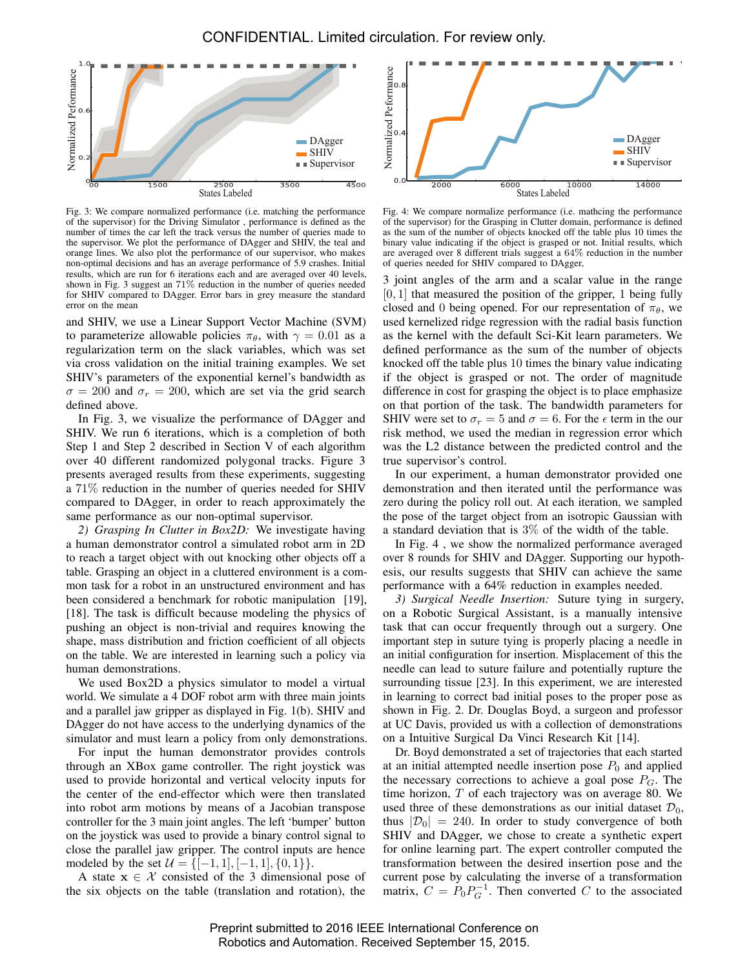

Fig. 3: We compare normalized performance (i.e. matching the performance of the supervisor) for the Driving Simulator , performance is defined as the number of times the car left the track versus the number of queries made to the supervisor. We plot the performance of DAgger and SHIV, the teal and orange lines. We also plot the performance of our supervisor, who makes non-optimal decisions and has an average performance of 5.9 crashes. Initial results, which are run for 6 iterations each and are averaged over 40 levels, shown in Fig. 3 suggest an 71% reduction in the number of queries needed for SHIV compared to DAgger. Error bars in grey measure the standard error on the mean

and SHIV, we use a Linear Support Vector Machine (SVM) to parameterize allowable policies  $\pi_{\theta}$ , with  $\gamma = 0.01$  as a regularization term on the slack variables, which was set via cross validation on the initial training examples. We set SHIV's parameters of the exponential kernel's bandwidth as  $\sigma = 200$  and  $\sigma_r = 200$ , which are set via the grid search defined above.

In Fig. 3, we visualize the performance of DAgger and SHIV. We run 6 iterations, which is a completion of both Step 1 and Step 2 described in Section V of each algorithm over 40 different randomized polygonal tracks. Figure 3 presents averaged results from these experiments, suggesting a 71% reduction in the number of queries needed for SHIV compared to DAgger, in order to reach approximately the same performance as our non-optimal supervisor.

*2) Grasping In Clutter in Box2D:* We investigate having a human demonstrator control a simulated robot arm in 2D to reach a target object with out knocking other objects off a table. Grasping an object in a cluttered environment is a common task for a robot in an unstructured environment and has been considered a benchmark for robotic manipulation [19], [18]. The task is difficult because modeling the physics of pushing an object is non-trivial and requires knowing the shape, mass distribution and friction coefficient of all objects on the table. We are interested in learning such a policy via human demonstrations.

We used Box2D a physics simulator to model a virtual world. We simulate a 4 DOF robot arm with three main joints and a parallel jaw gripper as displayed in Fig. 1(b). SHIV and DAgger do not have access to the underlying dynamics of the simulator and must learn a policy from only demonstrations.

For input the human demonstrator provides controls through an XBox game controller. The right joystick was used to provide horizontal and vertical velocity inputs for the center of the end-effector which were then translated into robot arm motions by means of a Jacobian transpose controller for the 3 main joint angles. The left 'bumper' button on the joystick was used to provide a binary control signal to close the parallel jaw gripper. The control inputs are hence modeled by the set  $\mathcal{U} = \{[-1, 1], [-1, 1], \{0, 1\}\}.$ 

A state  $x \in \mathcal{X}$  consisted of the 3 dimensional pose of the six objects on the table (translation and rotation), the



Fig. 4: We compare normalize performance (i.e. mathcing the performance of the supervisor) for the Grasping in Clutter domain, performance is defined as the sum of the number of objects knocked off the table plus 10 times the binary value indicating if the object is grasped or not. Initial results, which are averaged over 8 different trials suggest a 64% reduction in the number of queries needed for SHIV compared to DAgger,

3 joint angles of the arm and a scalar value in the range  $[0, 1]$  that measured the position of the gripper, 1 being fully closed and 0 being opened. For our representation of  $\pi_{\theta}$ , we used kernelized ridge regression with the radial basis function as the kernel with the default Sci-Kit learn parameters. We defined performance as the sum of the number of objects knocked off the table plus 10 times the binary value indicating if the object is grasped or not. The order of magnitude difference in cost for grasping the object is to place emphasize on that portion of the task. The bandwidth parameters for SHIV were set to  $\sigma_r = 5$  and  $\sigma = 6$ . For the  $\epsilon$  term in the our risk method, we used the median in regression error which was the L2 distance between the predicted control and the true supervisor's control.

In our experiment, a human demonstrator provided one demonstration and then iterated until the performance was zero during the policy roll out. At each iteration, we sampled the pose of the target object from an isotropic Gaussian with a standard deviation that is 3% of the width of the table.

In Fig. 4 , we show the normalized performance averaged over 8 rounds for SHIV and DAgger. Supporting our hypothesis, our results suggests that SHIV can achieve the same performance with a 64% reduction in examples needed.

*3) Surgical Needle Insertion:* Suture tying in surgery, on a Robotic Surgical Assistant, is a manually intensive task that can occur frequently through out a surgery. One important step in suture tying is properly placing a needle in an initial configuration for insertion. Misplacement of this the needle can lead to suture failure and potentially rupture the surrounding tissue [23]. In this experiment, we are interested in learning to correct bad initial poses to the proper pose as shown in Fig. 2. Dr. Douglas Boyd, a surgeon and professor at UC Davis, provided us with a collection of demonstrations on a Intuitive Surgical Da Vinci Research Kit [14].

Dr. Boyd demonstrated a set of trajectories that each started at an initial attempted needle insertion pose  $P_0$  and applied the necessary corrections to achieve a goal pose  $P_G$ . The time horizon, T of each trajectory was on average 80. We used three of these demonstrations as our initial dataset  $\mathcal{D}_0$ , thus  $|\mathcal{D}_0| = 240$ . In order to study convergence of both SHIV and DAgger, we chose to create a synthetic expert for online learning part. The expert controller computed the transformation between the desired insertion pose and the current pose by calculating the inverse of a transformation matrix,  $C = P_0 P_G^{-1}$ . Then converted C to the associated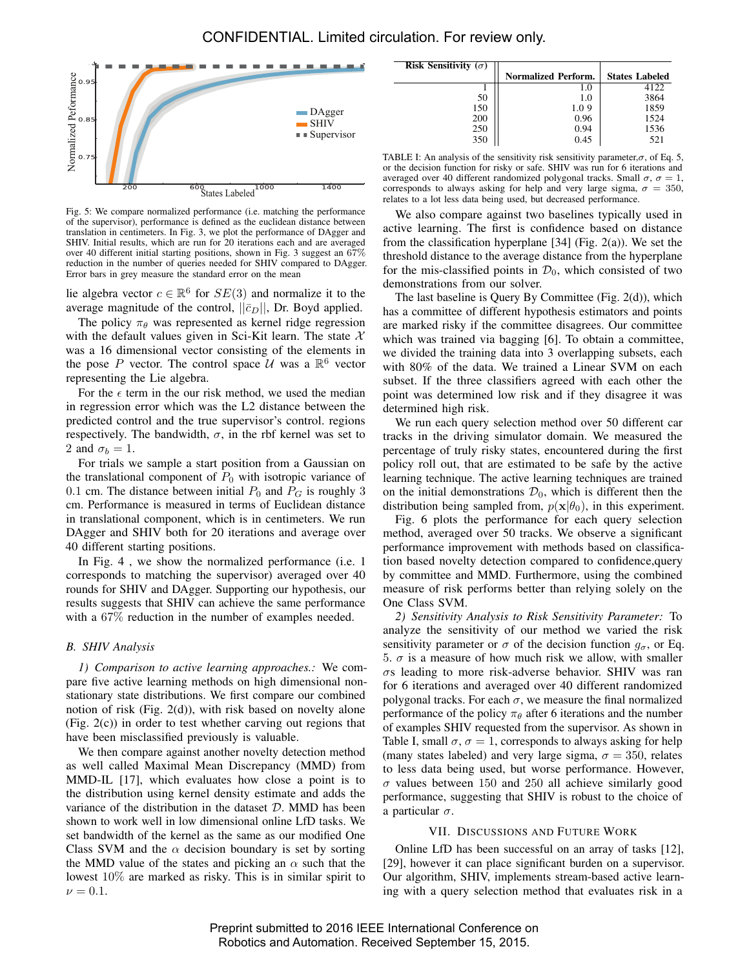

Fig. 5: We compare normalized performance (i.e. matching the performance of the supervisor), performance is defined as the euclidean distance between translation in centimeters. In Fig. 3, we plot the performance of DAgger and SHIV. Initial results, which are run for 20 iterations each and are averaged over 40 different initial starting positions, shown in Fig. 3 suggest an 67% reduction in the number of queries needed for SHIV compared to DAgger. Error bars in grey measure the standard error on the mean

lie algebra vector  $c \in \mathbb{R}^6$  for  $SE(3)$  and normalize it to the average magnitude of the control,  $||\bar{c}_D||$ , Dr. Boyd applied.

The policy  $\pi_{\theta}$  was represented as kernel ridge regression with the default values given in Sci-Kit learn. The state  $X$ was a 16 dimensional vector consisting of the elements in the pose P vector. The control space  $\mathcal{U}$  was a  $\mathbb{R}^6$  vector representing the Lie algebra.

For the  $\epsilon$  term in the our risk method, we used the median in regression error which was the L2 distance between the predicted control and the true supervisor's control. regions respectively. The bandwidth,  $\sigma$ , in the rbf kernel was set to 2 and  $\sigma_b = 1$ .

For trials we sample a start position from a Gaussian on the translational component of  $P_0$  with isotropic variance of 0.1 cm. The distance between initial  $P_0$  and  $P_G$  is roughly 3 cm. Performance is measured in terms of Euclidean distance in translational component, which is in centimeters. We run DAgger and SHIV both for 20 iterations and average over 40 different starting positions.

In Fig. 4, we show the normalized performance (i.e. 1) corresponds to matching the supervisor) averaged over 40 rounds for SHIV and DAgger. Supporting our hypothesis, our results suggests that SHIV can achieve the same performance with a 67% reduction in the number of examples needed.

# *B. SHIV Analysis*

*1) Comparison to active learning approaches.:* We compare five active learning methods on high dimensional nonstationary state distributions. We first compare our combined notion of risk (Fig. 2(d)), with risk based on novelty alone (Fig. 2(c)) in order to test whether carving out regions that have been misclassified previously is valuable.

We then compare against another novelty detection method as well called Maximal Mean Discrepancy (MMD) from MMD-IL [17], which evaluates how close a point is to the distribution using kernel density estimate and adds the variance of the distribution in the dataset  $D$ . MMD has been shown to work well in low dimensional online LfD tasks. We set bandwidth of the kernel as the same as our modified One Class SVM and the  $\alpha$  decision boundary is set by sorting the MMD value of the states and picking an  $\alpha$  such that the lowest 10% are marked as risky. This is in similar spirit to  $\nu = 0.1$ .

| <b>Risk Sensitivity</b> $(\sigma)$ |                            |                       |
|------------------------------------|----------------------------|-----------------------|
|                                    | <b>Normalized Perform.</b> | <b>States Labeled</b> |
|                                    | 1.0                        | 4122                  |
| 50                                 | 1.0                        | 3864                  |
| 150                                | 1.09                       | 1859                  |
| 200                                | 0.96                       | 1524                  |
| 250                                | 0.94                       | 1536                  |
| 350                                | 0.45                       | 521                   |

TABLE I: An analysis of the sensitivity risk sensitivity parameter, $\sigma$ , of Eq. 5, or the decision function for risky or safe. SHIV was run for 6 iterations and averaged over 40 different randomized polygonal tracks. Small  $\sigma$ ,  $\sigma = 1$ , corresponds to always asking for help and very large sigma,  $\sigma = 350$ , relates to a lot less data being used, but decreased performance.

We also compare against two baselines typically used in active learning. The first is confidence based on distance from the classification hyperplane  $[34]$  (Fig. 2(a)). We set the threshold distance to the average distance from the hyperplane for the mis-classified points in  $\mathcal{D}_0$ , which consisted of two demonstrations from our solver.

The last baseline is Query By Committee (Fig. 2(d)), which has a committee of different hypothesis estimators and points are marked risky if the committee disagrees. Our committee which was trained via bagging [6]. To obtain a committee, we divided the training data into 3 overlapping subsets, each with 80% of the data. We trained a Linear SVM on each subset. If the three classifiers agreed with each other the point was determined low risk and if they disagree it was determined high risk.

We run each query selection method over 50 different car tracks in the driving simulator domain. We measured the percentage of truly risky states, encountered during the first policy roll out, that are estimated to be safe by the active learning technique. The active learning techniques are trained on the initial demonstrations  $\mathcal{D}_0$ , which is different then the distribution being sampled from,  $p(x|\theta_0)$ , in this experiment.

Fig. 6 plots the performance for each query selection method, averaged over 50 tracks. We observe a significant performance improvement with methods based on classification based novelty detection compared to confidence,query by committee and MMD. Furthermore, using the combined measure of risk performs better than relying solely on the One Class SVM.

*2) Sensitivity Analysis to Risk Sensitivity Parameter:* To analyze the sensitivity of our method we varied the risk sensitivity parameter or  $\sigma$  of the decision function  $g_{\sigma}$ , or Eq. 5.  $\sigma$  is a measure of how much risk we allow, with smaller  $\sigma$ s leading to more risk-adverse behavior. SHIV was ran for 6 iterations and averaged over 40 different randomized polygonal tracks. For each  $\sigma$ , we measure the final normalized performance of the policy  $\pi_{\theta}$  after 6 iterations and the number of examples SHIV requested from the supervisor. As shown in Table I, small  $\sigma$ ,  $\sigma = 1$ , corresponds to always asking for help (many states labeled) and very large sigma,  $\sigma = 350$ , relates to less data being used, but worse performance. However,  $\sigma$  values between 150 and 250 all achieve similarly good performance, suggesting that SHIV is robust to the choice of a particular  $\sigma$ .

### VII. DISCUSSIONS AND FUTURE WORK

Online LfD has been successful on an array of tasks [12], [29], however it can place significant burden on a supervisor. Our algorithm, SHIV, implements stream-based active learning with a query selection method that evaluates risk in a